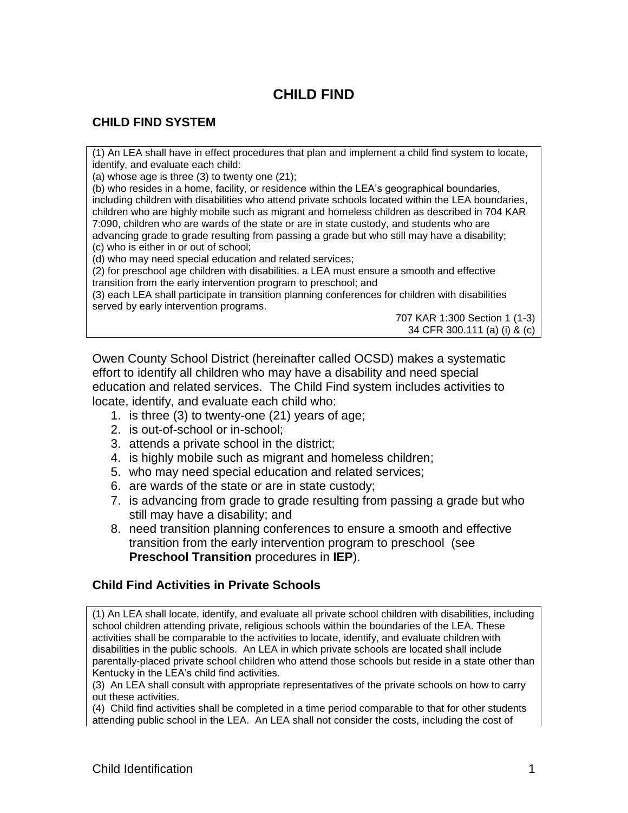# **CHILD FIND**

# **CHILD FIND SYSTEM**

(1) An LEA shall have in effect procedures that plan and implement a child find system to locate, identify, and evaluate each child:

(a) whose age is three  $(3)$  to twenty one  $(21)$ :

(b) who resides in a home, facility, or residence within the LEA's geographical boundaries, including children with disabilities who attend private schools located within the LEA boundaries, children who are highly mobile such as migrant and homeless children as described in 704 KAR 7:090, children who are wards of the state or are in state custody, and students who are advancing grade to grade resulting from passing a grade but who still may have a disability; (c) who is either in or out of school;

(d) who may need special education and related services;

(2) for preschool age children with disabilities, a LEA must ensure a smooth and effective transition from the early intervention program to preschool; and

(3) each LEA shall participate in transition planning conferences for children with disabilities served by early intervention programs.

> 707 KAR 1:300 Section 1 (1-3) 34 CFR 300.111 (a) (i) & (c)

Owen County School District (hereinafter called OCSD) makes a systematic effort to identify all children who may have a disability and need special education and related services. The Child Find system includes activities to locate, identify, and evaluate each child who:

- 1. is three (3) to twenty-one (21) years of age;
- 2. is out-of-school or in-school;
- 3. attends a private school in the district;
- 4. is highly mobile such as migrant and homeless children;
- 5. who may need special education and related services;
- 6. are wards of the state or are in state custody;
- 7. is advancing from grade to grade resulting from passing a grade but who still may have a disability; and
- 8. need transition planning conferences to ensure a smooth and effective transition from the early intervention program to preschool (see **Preschool Transition** procedures in **IEP**).

#### **Child Find Activities in Private Schools**

(1) An LEA shall locate, identify, and evaluate all private school children with disabilities, including school children attending private, religious schools within the boundaries of the LEA. These activities shall be comparable to the activities to locate, identify, and evaluate children with disabilities in the public schools. An LEA in which private schools are located shall include parentally-placed private school children who attend those schools but reside in a state other than Kentucky in the LEA's child find activities.

(3) An LEA shall consult with appropriate representatives of the private schools on how to carry out these activities.

(4) Child find activities shall be completed in a time period comparable to that for other students attending public school in the LEA. An LEA shall not consider the costs, including the cost of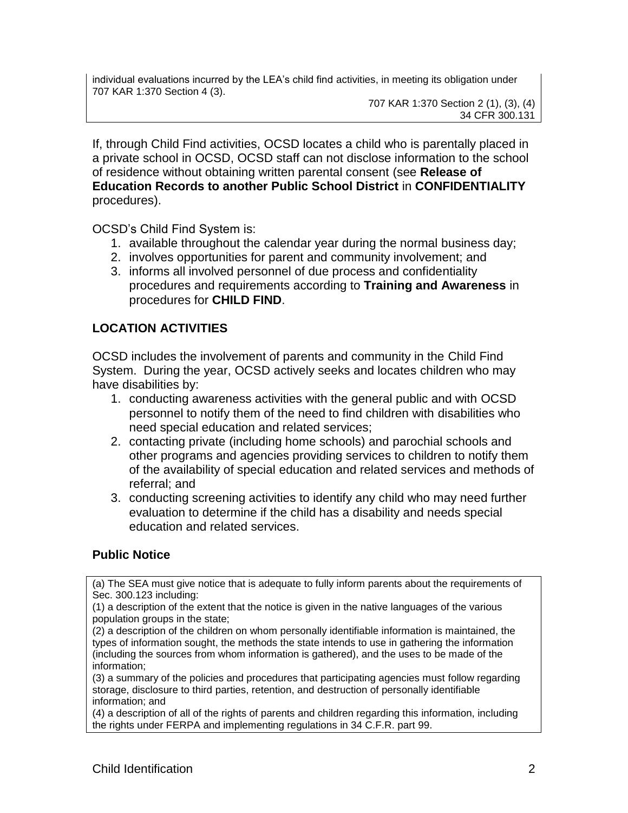individual evaluations incurred by the LEA's child find activities, in meeting its obligation under 707 KAR 1:370 Section 4 (3).

707 KAR 1:370 Section 2 (1), (3), (4) 34 CFR 300.131

If, through Child Find activities, OCSD locates a child who is parentally placed in a private school in OCSD, OCSD staff can not disclose information to the school of residence without obtaining written parental consent (see **Release of Education Records to another Public School District** in **CONFIDENTIALITY** procedures).

OCSD's Child Find System is:

- 1. available throughout the calendar year during the normal business day;
- 2. involves opportunities for parent and community involvement; and
- 3. informs all involved personnel of due process and confidentiality procedures and requirements according to **Training and Awareness** in procedures for **CHILD FIND**.

# **LOCATION ACTIVITIES**

OCSD includes the involvement of parents and community in the Child Find System. During the year, OCSD actively seeks and locates children who may have disabilities by:

- 1. conducting awareness activities with the general public and with OCSD personnel to notify them of the need to find children with disabilities who need special education and related services;
- 2. contacting private (including home schools) and parochial schools and other programs and agencies providing services to children to notify them of the availability of special education and related services and methods of referral; and
- 3. conducting screening activities to identify any child who may need further evaluation to determine if the child has a disability and needs special education and related services.

## **Public Notice**

(a) The SEA must give notice that is adequate to fully inform parents about the requirements of Sec. 300.123 including:

(1) a description of the extent that the notice is given in the native languages of the various population groups in the state;

(2) a description of the children on whom personally identifiable information is maintained, the types of information sought, the methods the state intends to use in gathering the information (including the sources from whom information is gathered), and the uses to be made of the information;

(3) a summary of the policies and procedures that participating agencies must follow regarding storage, disclosure to third parties, retention, and destruction of personally identifiable information; and

(4) a description of all of the rights of parents and children regarding this information, including the rights under FERPA and implementing regulations in 34 C.F.R. part 99.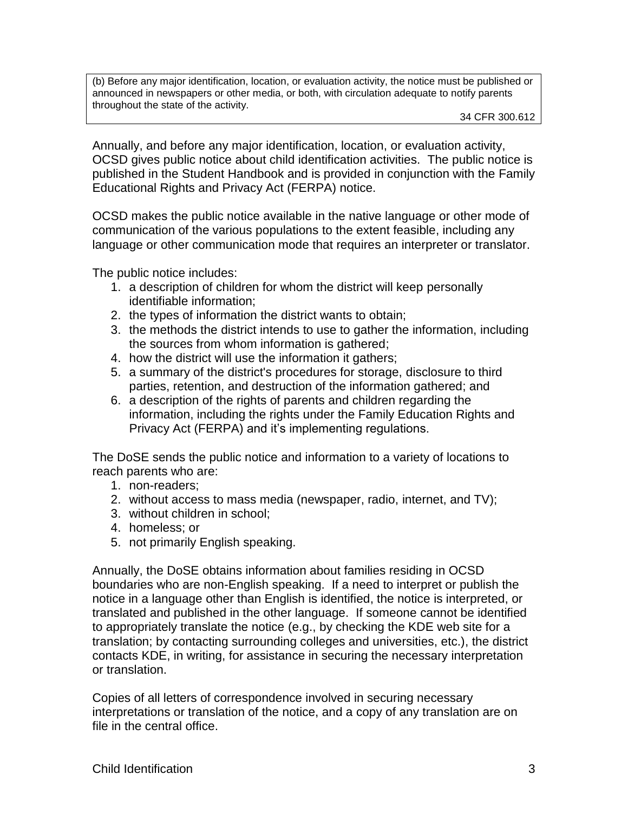(b) Before any major identification, location, or evaluation activity, the notice must be published or announced in newspapers or other media, or both, with circulation adequate to notify parents throughout the state of the activity.

Annually, and before any major identification, location, or evaluation activity, OCSD gives public notice about child identification activities. The public notice is published in the Student Handbook and is provided in conjunction with the Family Educational Rights and Privacy Act (FERPA) notice.

OCSD makes the public notice available in the native language or other mode of communication of the various populations to the extent feasible, including any language or other communication mode that requires an interpreter or translator.

The public notice includes:

- 1. a description of children for whom the district will keep personally identifiable information;
- 2. the types of information the district wants to obtain;
- 3. the methods the district intends to use to gather the information, including the sources from whom information is gathered;
- 4. how the district will use the information it gathers;
- 5. a summary of the district's procedures for storage, disclosure to third parties, retention, and destruction of the information gathered; and
- 6. a description of the rights of parents and children regarding the information, including the rights under the Family Education Rights and Privacy Act (FERPA) and it's implementing regulations.

The DoSE sends the public notice and information to a variety of locations to reach parents who are:

- 1. non-readers;
- 2. without access to mass media (newspaper, radio, internet, and TV);
- 3. without children in school;
- 4. homeless; or
- 5. not primarily English speaking.

Annually, the DoSE obtains information about families residing in OCSD boundaries who are non-English speaking. If a need to interpret or publish the notice in a language other than English is identified, the notice is interpreted, or translated and published in the other language. If someone cannot be identified to appropriately translate the notice (e.g., by checking the KDE web site for a translation; by contacting surrounding colleges and universities, etc.), the district contacts KDE, in writing, for assistance in securing the necessary interpretation or translation.

Copies of all letters of correspondence involved in securing necessary interpretations or translation of the notice, and a copy of any translation are on file in the central office.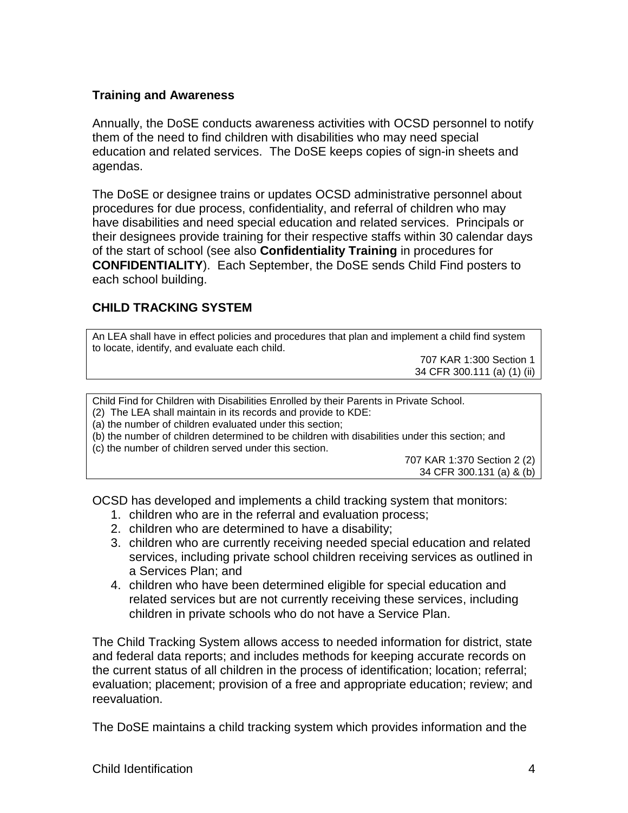#### **Training and Awareness**

Annually, the DoSE conducts awareness activities with OCSD personnel to notify them of the need to find children with disabilities who may need special education and related services. The DoSE keeps copies of sign-in sheets and agendas.

The DoSE or designee trains or updates OCSD administrative personnel about procedures for due process, confidentiality, and referral of children who may have disabilities and need special education and related services. Principals or their designees provide training for their respective staffs within 30 calendar days of the start of school (see also **Confidentiality Training** in procedures for **CONFIDENTIALITY**). Each September, the DoSE sends Child Find posters to each school building.

## **CHILD TRACKING SYSTEM**

An LEA shall have in effect policies and procedures that plan and implement a child find system to locate, identify, and evaluate each child.

> 707 KAR 1:300 Section 1 34 CFR 300.111 (a) (1) (ii)

Child Find for Children with Disabilities Enrolled by their Parents in Private School.

(2) The LEA shall maintain in its records and provide to KDE:

(a) the number of children evaluated under this section;

(b) the number of children determined to be children with disabilities under this section; and

(c) the number of children served under this section.

707 KAR 1:370 Section 2 (2) 34 CFR 300.131 (a) & (b)

OCSD has developed and implements a child tracking system that monitors:

- 1. children who are in the referral and evaluation process;
- 2. children who are determined to have a disability;
- 3. children who are currently receiving needed special education and related services, including private school children receiving services as outlined in a Services Plan; and
- 4. children who have been determined eligible for special education and related services but are not currently receiving these services, including children in private schools who do not have a Service Plan.

The Child Tracking System allows access to needed information for district, state and federal data reports; and includes methods for keeping accurate records on the current status of all children in the process of identification; location; referral; evaluation; placement; provision of a free and appropriate education; review; and reevaluation.

The DoSE maintains a child tracking system which provides information and the